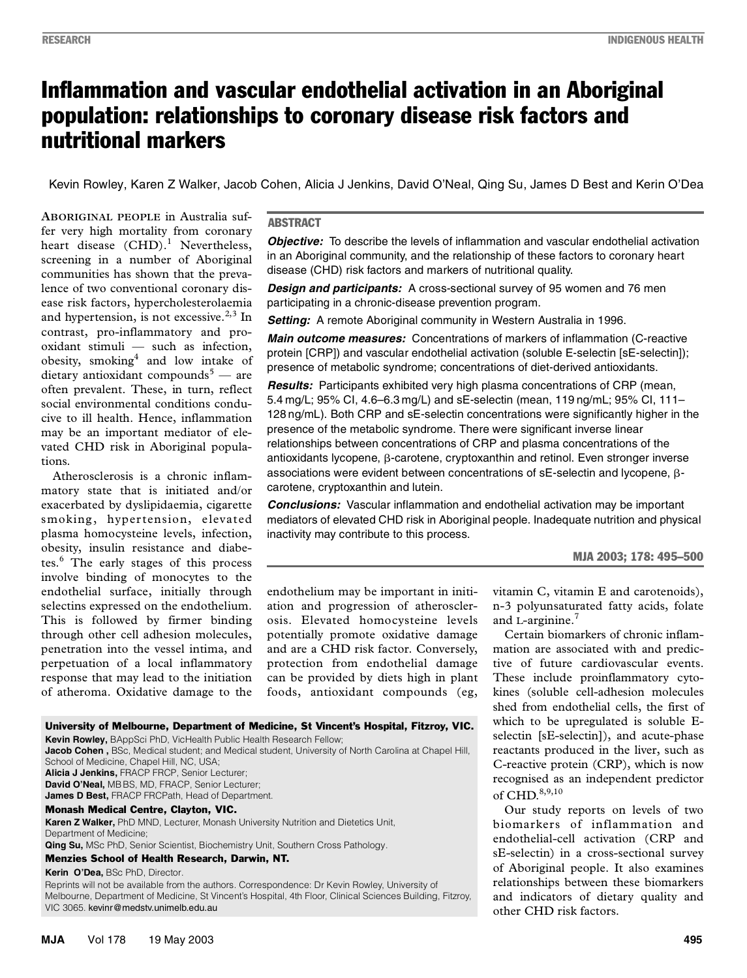# Inflammation and vascular endothelial activation in an Aboriginal population: relationships to coronary disease risk factors and nutritional markers

Kevin Rowley, Karen Z Walker, Jacob Cohen, Alicia J Jenkins, David O'Neal, Qing Su, James D Best and Kerin O'Dea

 $\text{Rer very high mortality from corotary}$  heart disease  $(\text{CHD}).^1$  Nevertheless,  $(0.01)$ . Exercitudes, screening in a number of Aboriginal communities has shown that the prevalence of two conventional coronary dis-**ABORIGINAL PEOPLE** in Australia suffer very high mortality from coronary ease risk factors, hypercholesterolaemia and hypertension, is not excessive. $2,3$  In contrast, pro-inflammatory and prooxidant stimuli — such as infection, obesity, smoking<sup>4</sup> and low intake of dietary antioxidant compounds<sup>5</sup> — are often prevalent. These, in turn, reflect social environmental conditions conducive to ill health. Hence, inflammation may be an important mediator of elevated CHD risk in Aboriginal populations.

Atherosclerosis is a chronic inflammatory state that is initiated and/or exacerbated by dyslipidaemia, cigarette smoking, hypertension, elevated plasma homocysteine levels, infection, obesity, insulin resistance and diabetes.<sup>6</sup> The early stages of this process involve binding of monocytes to the endothelial surface, initially through selectins expressed on the endothelium. This is followed by firmer binding through other cell adhesion molecules, penetration into the vessel intima, and perpetuation of a local inflammatory response that may lead to the initiation of atheroma. Oxidative damage to the

#### ABSTRACT

**Objective:** To describe the levels of inflammation and vascular endothelial activation in an Aboriginal community, and the relationship of these factors to coronary heart disease (CHD) risk factors and markers of nutritional quality.

*Design and participants:* A cross-sectional survey of 95 women and 76 men participating in a chronic-disease prevention program.

**Setting:** A remote Aboriginal community in Western Australia in 1996.

*Main outcome measures:* Concentrations of markers of inflammation (C-reactive protein [CRP]) and vascular endothelial activation (soluble E-selectin [sE-selectin]); presence of metabolic syndrome; concentrations of diet-derived antioxidants.

*Results:* Participants exhibited very high plasma concentrations of CRP (mean, 5.4 mg/L; 95% CI, 4.6–6.3 mg/L) and sE-selectin (mean, 119 ng/mL; 95% CI, 111– 128 ng/mL). Both CRP and sE-selectin concentrations were significantly higher in the presence of the metabolic syndrome. There were significant inverse linear relationships between concentrations of CRP and plasma concentrations of the antioxidants lycopene,  $\beta$ -carotene, cryptoxanthin and retinol. Even stronger inverse associations were evident between concentrations of  $sE$ -selectin and lycopene,  $\beta$ carotene, cryptoxanthin and lutein.

*Conclusions:* Vascular inflammation and endothelial activation may be important mediators of elevated CHD risk in Aboriginal people. Inadequate nutrition and physical inactivity may contribute to this process.

#### MJA 2003; 178: 495–500

endothelium may be important in initiation and progression of atherosclerosis. Elevated homocysteine levels potentially promote oxidative damage and are a CHD risk factor. Conversely, protection from endothelial damage can be provided by diets high in plant foods, antioxidant compounds (eg,

vitamin C, vitamin E and carotenoids), n-3 polyunsaturated fatty acids, folate and L-arginine. $<sup>7</sup>$ </sup>

Certain biomarkers of chronic inflammation are associated with and predictive of future cardiovascular events. These include proinflammatory cytokines (soluble cell-adhesion molecules shed from endothelial cells, the first of which to be upregulated is soluble Eselectin [sE-selectin]), and acute-phase reactants produced in the liver, such as C-reactive protein (CRP), which is now recognised as an independent predictor of CHD.<sup>8,9,10</sup>

Our study reports on levels of two biomarkers of inflammation and endothelial-cell activation (CRP and sE-selectin) in a cross-sectional survey of Aboriginal people. It also examines relationships between these biomarkers and indicators of dietary quality and other CHD risk factors.

#### University of Melbourne, Department of Medicine, St Vincent's Hospital, Fitzroy, VIC. **Kevin Rowley,** BAppSci PhD, VicHealth Public Health Research Fellow; **Jacob Cohen ,** BSc, Medical student; and Medical student, University of North Carolina at Chapel Hill, School of Medicine, Chapel Hill, NC, USA; **Alicia J Jenkins,** FRACP FRCP, Senior Lecturer; **David O'Neal,** MB BS, MD, FRACP, Senior Lecturer; **James D Best,** FRACP FRCPath, Head of Department.

#### Monash Medical Centre, Clayton, VIC.

**Karen Z Walker,** PhD MND, Lecturer, Monash University Nutrition and Dietetics Unit, Department of Medicine;

**Qing Su,** MSc PhD, Senior Scientist, Biochemistry Unit, Southern Cross Pathology.

#### Menzies School of Health Research, Darwin, NT.

**Kerin O'Dea,** BSc PhD, Director.

Reprints will not be available from the authors. Correspondence: Dr Kevin Rowley, University of Melbourne, Department of Medicine, St Vincent's Hospital, 4th Floor, Clinical Sciences Building, Fitzroy, VIC 3065. kevinr@medstv.unimelb.edu.au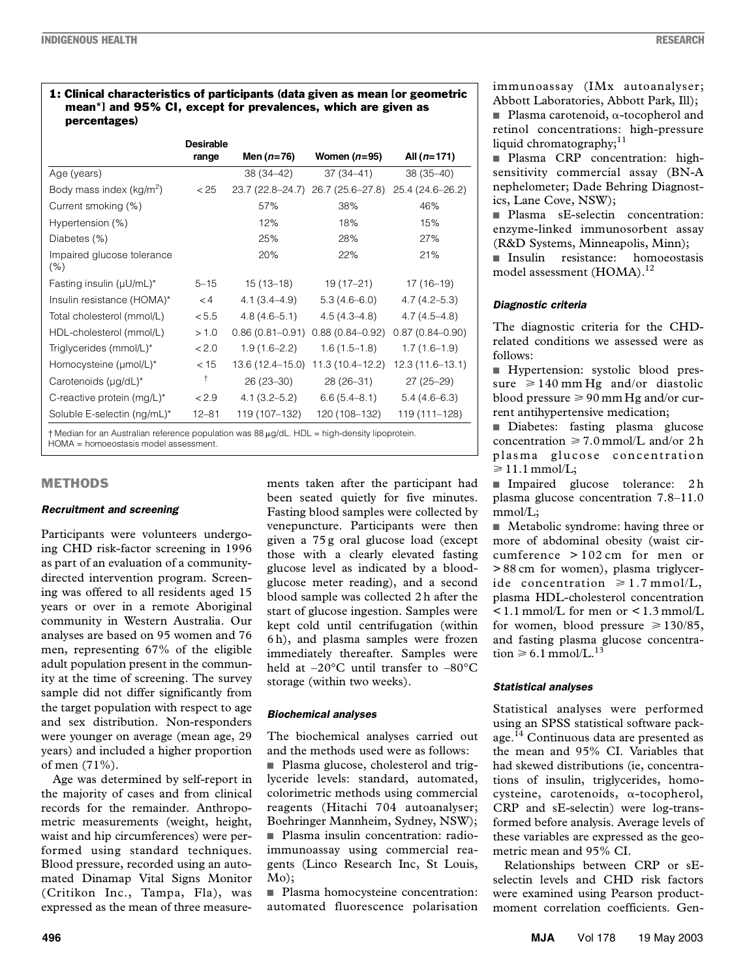#### 1: Clinical characteristics of participants (data given as mean [or geometric mean\*] and 95% CI, except for prevalences, which are given as percentages)

|                                      | <b>Desirable</b> |                     |                     |                     |
|--------------------------------------|------------------|---------------------|---------------------|---------------------|
|                                      | range            | Men $(n=76)$        | Women $(n=95)$      | All $(n=171)$       |
| Age (years)                          |                  | 38 (34-42)          | $37(34 - 41)$       | 38 (35-40)          |
| Body mass index (kg/m <sup>2</sup> ) | < 25             | 23.7 (22.8–24.7)    | 26.7 (25.6–27.8)    | 25.4 (24.6–26.2)    |
| Current smoking (%)                  |                  | 57%                 | 38%                 | 46%                 |
| Hypertension (%)                     |                  | 12%                 | 18%                 | 15%                 |
| Diabetes (%)                         |                  | 25%                 | 28%                 | 27%                 |
| Impaired glucose tolerance<br>(% )   |                  | 20%                 | 22%                 | 21%                 |
| Fasting insulin $(\mu U/mL)^*$       | $5 - 15$         | $15(13-18)$         | 19 (17–21)          | $17(16-19)$         |
| Insulin resistance (HOMA)*           | < 4              | $4.1(3.4 - 4.9)$    | $5.3(4.6-6.0)$      | $4.7(4.2 - 5.3)$    |
| Total cholesterol (mmol/L)           | < 5.5            | $4.8(4.6 - 5.1)$    | $4.5(4.3 - 4.8)$    | $4.7(4.5 - 4.8)$    |
| HDL-cholesterol (mmol/L)             | >1.0             | $0.86(0.81 - 0.91)$ | $0.88(0.84 - 0.92)$ | $0.87(0.84 - 0.90)$ |
| Triglycerides (mmol/L)*              | < 2.0            | $1.9(1.6 - 2.2)$    | $1.6(1.5-1.8)$      | $1.7(1.6-1.9)$      |
| Homocysteine (µmol/L)*               | < 15             | 13.6 (12.4-15.0)    | $11.3(10.4 - 12.2)$ | 12.3 (11.6–13.1)    |
| Carotenoids $(\mu g/dL)^*$           | $^\mathrm{+}$    | $26(23-30)$         | 28 (26-31)          | $27(25-29)$         |
| C-reactive protein (mg/L)*           | < 2.9            | $4.1(3.2 - 5.2)$    | $6.6(5.4 - 8.1)$    | $5.4(4.6-6.3)$      |
| Soluble E-selectin (ng/mL)*          | $12 - 81$        | 119 (107-132)       | 120 (108-132)       | 119 (111–128)       |

 $\dagger$  Median for an Australian reference population was 88  $\mu$ g/dL. HDL = high-density lipoprotein. HOMA = homoeostasis model assessment.

#### METHODS

#### *Recruitment and screening*

Participants were volunteers undergoing CHD risk-factor screening in 1996 as part of an evaluation of a communitydirected intervention program. Screening was offered to all residents aged 15 years or over in a remote Aboriginal community in Western Australia. Our analyses are based on 95 women and 76 men, representing 67% of the eligible adult population present in the community at the time of screening. The survey sample did not differ significantly from the target population with respect to age and sex distribution. Non-responders were younger on average (mean age, 29 years) and included a higher proportion of men (71%).

Age was determined by self-report in the majority of cases and from clinical records for the remainder. Anthropometric measurements (weight, height, waist and hip circumferences) were performed using standard techniques. Blood pressure, recorded using an automated Dinamap Vital Signs Monitor (Critikon Inc., Tampa, Fla), was expressed as the mean of three measurements taken after the participant had been seated quietly for five minutes. Fasting blood samples were collected by venepuncture. Participants were then given a 75 g oral glucose load (except those with a clearly elevated fasting glucose level as indicated by a bloodglucose meter reading), and a second blood sample was collected 2 h after the start of glucose ingestion. Samples were kept cold until centrifugation (within 6 h), and plasma samples were frozen immediately thereafter. Samples were held at –20°C until transfer to –80°C storage (within two weeks).

#### *Biochemical analyses*

The biochemical analyses carried out and the methods used were as follows:

■ Plasma glucose, cholesterol and triglyceride levels: standard, automated, colorimetric methods using commercial reagents (Hitachi 704 autoanalyser; Boehringer Mannheim, Sydney, NSW); ■ Plasma insulin concentration: radioimmunoassay using commercial reagents (Linco Research Inc, St Louis, Mo);

■ Plasma homocysteine concentration: automated fluorescence polarisation

immunoassay (IMx autoanalyser; Abbott Laboratories, Abbott Park, Ill);

**Plasma carotenoid,**  $\alpha$ **-tocopherol and** retinol concentrations: high-pressure liquid chromatography; $11$ 

■ Plasma CRP concentration: highsensitivity commercial assay (BN-A nephelometer; Dade Behring Diagnostics, Lane Cove, NSW);

■ Plasma sE-selectin concentration: enzyme-linked immunosorbent assay (R&D Systems, Minneapolis, Minn);

■ Insulin resistance: homoeostasis model assessment (HOMA).<sup>12</sup>

#### *Diagnostic criteria*

The diagnostic criteria for the CHDrelated conditions we assessed were as follows:

■ Hypertension: systolic blood pressure  $\geq 140$  mm Hg and/or diastolic blood pressure  $\geq 90$  mm Hg and/or current antihypertensive medication;

■ Diabetes: fasting plasma glucose concentration  $\geq 7.0$  mmol/L and/or 2 h plasma glucose concentration  $\geq 11.1$  mmol/L;

■ Impaired glucose tolerance: 2 h plasma glucose concentration 7.8–11.0 mmol/L;

■ Metabolic syndrome: having three or more of abdominal obesity (waist circumference > 102 cm for men or > 88 cm for women), plasma triglyceride concentration  $\geq 1.7$  mmol/L, plasma HDL-cholesterol concentration < 1.1 mmol/L for men or < 1.3 mmol/L for women, blood pressure  $\geq 130/85$ , and fasting plasma glucose concentration  $\geq 6.1$  mmol/L.<sup>13</sup>

#### *Statistical analyses*

Statistical analyses were performed using an SPSS statistical software package.14 Continuous data are presented as the mean and 95% CI. Variables that had skewed distributions (ie, concentrations of insulin, triglycerides, homo $c$ ysteine, carotenoids,  $\alpha$ -tocopherol, CRP and sE-selectin) were log-transformed before analysis. Average levels of these variables are expressed as the geometric mean and 95% CI.

Relationships between CRP or sEselectin levels and CHD risk factors were examined using Pearson productmoment correlation coefficients. Gen-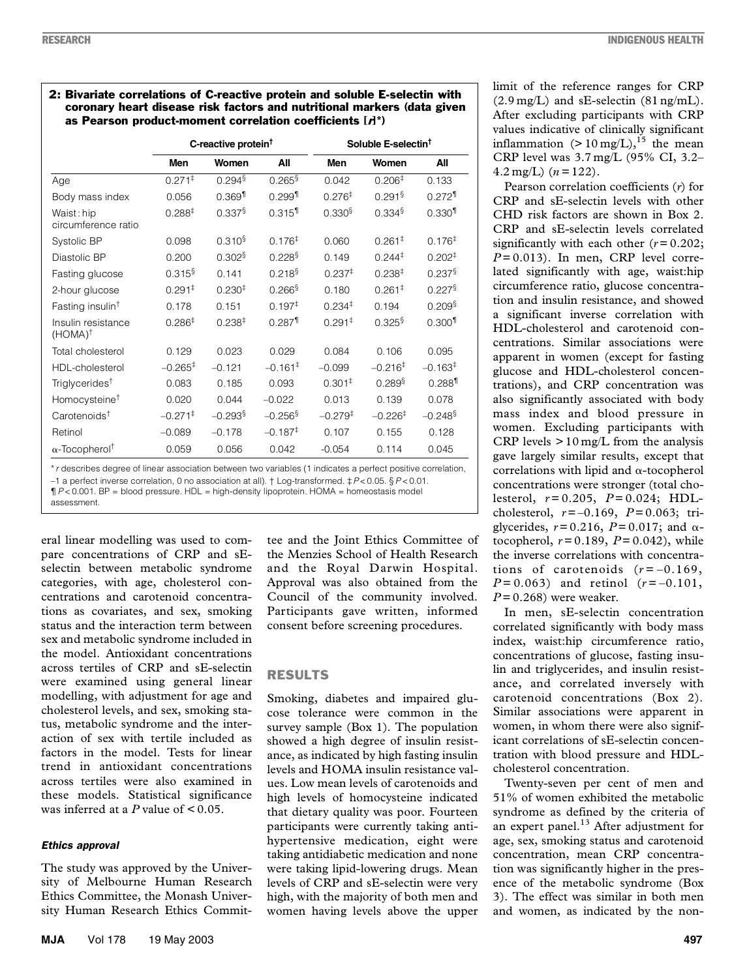#### 2: Bivariate correlations of C-reactive protein and soluble E-selectin with coronary heart disease risk factors and nutritional markers (data given as Pearson product-moment correlation coefficients  $[A^*]$

|                                          | C-reactive protein <sup>†</sup> |                       |                       | Soluble E-selectin <sup>†</sup> |                      |                       |
|------------------------------------------|---------------------------------|-----------------------|-----------------------|---------------------------------|----------------------|-----------------------|
|                                          | Men                             | Women                 | All                   | Men                             | Women                | All                   |
| Age                                      | $0.271^{\ddagger}$              | $0.294^{\frac{5}{3}}$ | 0.265                 | 0.042                           | 0.206 <sup>‡</sup>   | 0.133                 |
| Body mass index                          | 0.056                           | $0.369$ <sup>1</sup>  | $0.299$ <sup>11</sup> | 0.276 <sup>‡</sup>              | $0.291$ <sup>§</sup> | $0.272$ <sup>11</sup> |
| Waist: hip<br>circumference ratio        | 0.288 <sup>‡</sup>              | $0.337$ <sup>§</sup>  | $0.315$ <sup>1</sup>  | 0.330 <sup>§</sup>              | $0.334$ <sup>§</sup> | $0.330$ <sup>11</sup> |
| Systolic BP                              | 0.098                           | 0.310 <sup>§</sup>    | 0.176 <sup>‡</sup>    | 0.060                           | $0.261^{\ddagger}$   | 0.176 <sup>‡</sup>    |
| Diastolic BP                             | 0.200                           | $0.302$ <sup>§</sup>  | $0.228$ <sup>§</sup>  | 0.149                           | $0.244^{\ddagger}$   | $0.202^{\ddagger}$    |
| Fasting glucose                          | $0.315$ <sup>§</sup>            | 0.141                 | 0.218 <sup>§</sup>    | 0.237 <sup>‡</sup>              | 0.238 <sup>‡</sup>   | $0.237$ <sup>§</sup>  |
| 2-hour glucose                           | $0.291^{\ddagger}$              | 0.230 <sup>‡</sup>    | $0.266$ <sup>§</sup>  | 0.180                           | $0.261^{\ddagger}$   | $0.227$ <sup>§</sup>  |
| Fasting insulin <sup>t</sup>             | 0.178                           | 0.151                 | $0.197^{\ddagger}$    | $0.234^{\ddagger}$              | 0.194                | $0.209$ <sup>§</sup>  |
| Insulin resistance<br>$(HOMA)^{\dagger}$ | 0.286 <sup>‡</sup>              | 0.238 <sup>‡</sup>    | $0.287$ <sup>1</sup>  | $0.291^{\ddagger}$              | $0.325$ <sup>§</sup> | $0.300$ <sup>11</sup> |
| Total cholesterol                        | 0.129                           | 0.023                 | 0.029                 | 0.084                           | 0.106                | 0.095                 |
| HDL-cholesterol                          | $-0.265^{\ddagger}$             | $-0.121$              | $-0.161^{\ddagger}$   | $-0.099$                        | $-0.216^{\ddagger}$  | $-0.163^{\ddagger}$   |
| Triglycerides <sup>†</sup>               | 0.083                           | 0.185                 | 0.093                 | 0.301 <sup>‡</sup>              | $0.289$ <sup>§</sup> | $0.288$ <sup>1</sup>  |
| Homocysteine <sup>†</sup>                | 0.020                           | 0.044                 | $-0.022$              | 0.013                           | 0.139                | 0.078                 |
| $C$ arotenoids <sup>†</sup>              | $-0.271$ <sup>‡</sup>           | $-0.293$ <sup>§</sup> | $-0.256$ <sup>§</sup> | $-0.279$ <sup>‡</sup>           | $-0.226^{\ddagger}$  | $-0.248$ <sup>§</sup> |
| Retinol                                  | $-0.089$                        | $-0.178$              | $-0.187^{\ddagger}$   | 0.107                           | 0.155                | 0.128                 |
| $\alpha$ -Tocopherol <sup>†</sup>        | 0.059                           | 0.056                 | 0.042                 | $-0.054$                        | 0.114                | 0.045                 |

\**r* describes degree of linear association between two variables (1 indicates a perfect positive correlation,

–1 a perfect inverse correlation, 0 no association at all). † Log-transformed. ‡*P*< 0.05. § *P* < 0.01.

¶*P* < 0.001. BP = blood pressure. HDL = high-density lipoprotein. HOMA = homeostasis model

assessment.

eral linear modelling was used to compare concentrations of CRP and sEselectin between metabolic syndrome categories, with age, cholesterol concentrations and carotenoid concentrations as covariates, and sex, smoking status and the interaction term between sex and metabolic syndrome included in the model. Antioxidant concentrations across tertiles of CRP and sE-selectin were examined using general linear modelling, with adjustment for age and cholesterol levels, and sex, smoking status, metabolic syndrome and the interaction of sex with tertile included as factors in the model. Tests for linear trend in antioxidant concentrations across tertiles were also examined in these models. Statistical significance was inferred at a  $P$  value of  $\leq 0.05$ .

#### *Ethics approval*

The study was approved by the University of Melbourne Human Research Ethics Committee, the Monash University Human Research Ethics Commit-

tee and the Joint Ethics Committee of the Menzies School of Health Research and the Royal Darwin Hospital. Approval was also obtained from the Council of the community involved. Participants gave written, informed consent before screening procedures.

### RESULTS

Smoking, diabetes and impaired glucose tolerance were common in the survey sample (Box 1). The population showed a high degree of insulin resistance, as indicated by high fasting insulin levels and HOMA insulin resistance values. Low mean levels of carotenoids and high levels of homocysteine indicated that dietary quality was poor. Fourteen participants were currently taking antihypertensive medication, eight were taking antidiabetic medication and none were taking lipid-lowering drugs. Mean levels of CRP and sE-selectin were very high, with the majority of both men and women having levels above the upper limit of the reference ranges for CRP  $(2.9 \text{ mg/L})$  and sE-selectin  $(81 \text{ ng/mL})$ . After excluding participants with CRP values indicative of clinically significant inflammation  $(> 10 \text{ mg/L})$ ,<sup>15</sup> the mean CRP level was 3.7 mg/L (95% CI, 3.2–  $4.2 \,\text{mg/L}$ )  $(n = 122)$ .

Pearson correlation coefficients (*r*) for CRP and sE-selectin levels with other CHD risk factors are shown in Box 2. CRP and sE-selectin levels correlated significantly with each other  $(r=0.202)$ ;  $P = 0.013$ ). In men, CRP level correlated significantly with age, waist:hip circumference ratio, glucose concentration and insulin resistance, and showed a significant inverse correlation with HDL-cholesterol and carotenoid concentrations. Similar associations were apparent in women (except for fasting glucose and HDL-cholesterol concentrations), and CRP concentration was also significantly associated with body mass index and blood pressure in women. Excluding participants with CRP levels  $> 10$  mg/L from the analysis gave largely similar results, except that correlations with lipid and  $\alpha$ -tocopherol concentrations were stronger (total cholesterol,  $r = 0.205$ ,  $P = 0.024$ ; HDLcholesterol, *r* = –0.169, *P* = 0.063; triglycerides,  $r = 0.216$ ,  $P = 0.017$ ; and  $\alpha$ tocopherol,  $r = 0.189$ ,  $P = 0.042$ ), while the inverse correlations with concentrations of carotenoids  $(r=-0.169)$ ,  $P = 0.063$ ) and retinol  $(r = -0.101,$ *P* = 0.268) were weaker.

In men, sE-selectin concentration correlated significantly with body mass index, waist:hip circumference ratio, concentrations of glucose, fasting insulin and triglycerides, and insulin resistance, and correlated inversely with carotenoid concentrations (Box 2). Similar associations were apparent in women, in whom there were also significant correlations of sE-selectin concentration with blood pressure and HDLcholesterol concentration.

Twenty-seven per cent of men and 51% of women exhibited the metabolic syndrome as defined by the criteria of an expert panel. $^{13}$  After adjustment for age, sex, smoking status and carotenoid concentration, mean CRP concentration was significantly higher in the presence of the metabolic syndrome (Box 3). The effect was similar in both men and women, as indicated by the non-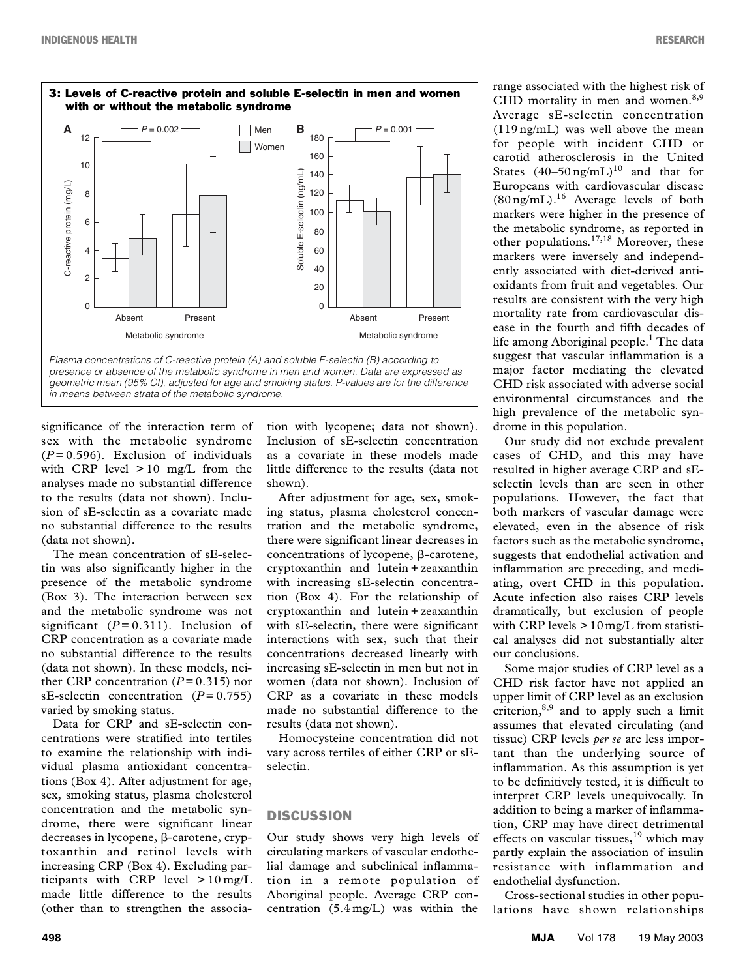

*geometric mean (95% CI), adjusted for age and smoking status. P-values are for the difference in means between strata of the metabolic syndrome.*

significance of the interaction term of sex with the metabolic syndrome  $(P=0.596)$ . Exclusion of individuals with CRP level  $> 10$  mg/L from the analyses made no substantial difference to the results (data not shown). Inclusion of sE-selectin as a covariate made no substantial difference to the results (data not shown).

The mean concentration of sE-selectin was also significantly higher in the presence of the metabolic syndrome (Box 3). The interaction between sex and the metabolic syndrome was not significant  $(P= 0.311)$ . Inclusion of CRP concentration as a covariate made no substantial difference to the results (data not shown). In these models, neither CRP concentration  $(P=0.315)$  nor sE-selectin concentration (*P* = 0.755) varied by smoking status.

Data for CRP and sE-selectin concentrations were stratified into tertiles to examine the relationship with individual plasma antioxidant concentrations (Box 4). After adjustment for age, sex, smoking status, plasma cholesterol concentration and the metabolic syndrome, there were significant linear decreases in lycopene,  $\beta$ -carotene, cryptoxanthin and retinol levels with increasing CRP (Box 4). Excluding participants with CRP level  $> 10$  mg/L made little difference to the results (other than to strengthen the associa-

tion with lycopene; data not shown). Inclusion of sE-selectin concentration as a covariate in these models made little difference to the results (data not shown).

After adjustment for age, sex, smoking status, plasma cholesterol concentration and the metabolic syndrome, there were significant linear decreases in concentrations of lycopene,  $\beta$ -carotene, cryptoxanthin and lutein + zeaxanthin with increasing sE-selectin concentration (Box 4). For the relationship of cryptoxanthin and lutein + zeaxanthin with sE-selectin, there were significant interactions with sex, such that their concentrations decreased linearly with increasing sE-selectin in men but not in women (data not shown). Inclusion of CRP as a covariate in these models made no substantial difference to the results (data not shown).

Homocysteine concentration did not vary across tertiles of either CRP or sEselectin.

#### **DISCUSSION**

Our study shows very high levels of circulating markers of vascular endothelial damage and subclinical inflammation in a remote population of Aboriginal people. Average CRP concentration (5.4 mg/L) was within the

range associated with the highest risk of CHD mortality in men and women. $8,9$ Average sE-selectin concentration (119 ng/mL) was well above the mean for people with incident CHD or carotid atherosclerosis in the United States  $(40-50 \text{ ng/mL})^{10}$  and that for Europeans with cardiovascular disease  $(80 \text{ ng/mL})$ .<sup>16</sup> Average levels of both markers were higher in the presence of the metabolic syndrome, as reported in other populations.<sup>17,18</sup> Moreover, these markers were inversely and independently associated with diet-derived antioxidants from fruit and vegetables. Our results are consistent with the very high mortality rate from cardiovascular disease in the fourth and fifth decades of life among Aboriginal people.<sup>1</sup> The data suggest that vascular inflammation is a major factor mediating the elevated CHD risk associated with adverse social environmental circumstances and the high prevalence of the metabolic syndrome in this population.

Our study did not exclude prevalent cases of CHD, and this may have resulted in higher average CRP and sEselectin levels than are seen in other populations. However, the fact that both markers of vascular damage were elevated, even in the absence of risk factors such as the metabolic syndrome, suggests that endothelial activation and inflammation are preceding, and mediating, overt CHD in this population. Acute infection also raises CRP levels dramatically, but exclusion of people with CRP levels  $> 10$  mg/L from statistical analyses did not substantially alter our conclusions.

Some major studies of CRP level as a CHD risk factor have not applied an upper limit of CRP level as an exclusion criterion, $8,9$  and to apply such a limit assumes that elevated circulating (and tissue) CRP levels *per se* are less important than the underlying source of inflammation. As this assumption is yet to be definitively tested, it is difficult to interpret CRP levels unequivocally. In addition to being a marker of inflammation, CRP may have direct detrimental effects on vascular tissues, $19$  which may partly explain the association of insulin resistance with inflammation and endothelial dysfunction.

Cross-sectional studies in other populations have shown relationships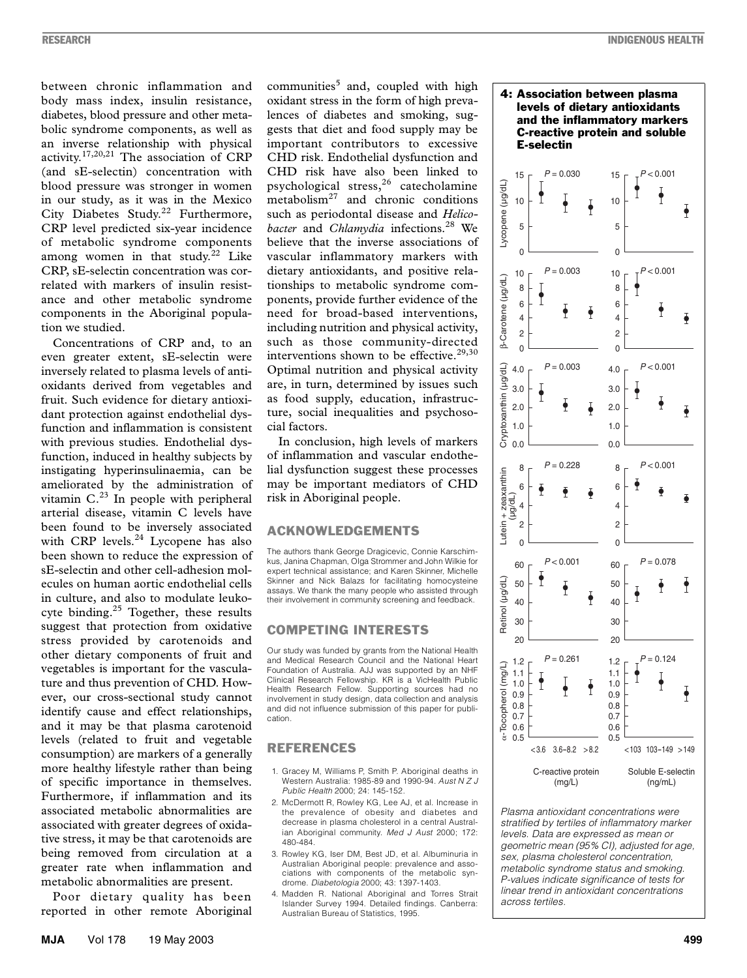between chronic inflammation and body mass index, insulin resistance, diabetes, blood pressure and other metabolic syndrome components, as well as an inverse relationship with physical activity.<sup>17,20,21</sup> The association of CRP (and sE-selectin) concentration with blood pressure was stronger in women in our study, as it was in the Mexico City Diabetes Study.<sup>22</sup> Furthermore, CRP level predicted six-year incidence of metabolic syndrome components among women in that study. $22$  Like CRP, sE-selectin concentration was correlated with markers of insulin resistance and other metabolic syndrome components in the Aboriginal population we studied.

Concentrations of CRP and, to an even greater extent, sE-selectin were inversely related to plasma levels of antioxidants derived from vegetables and fruit. Such evidence for dietary antioxidant protection against endothelial dysfunction and inflammation is consistent with previous studies. Endothelial dysfunction, induced in healthy subjects by instigating hyperinsulinaemia, can be ameliorated by the administration of vitamin C.<sup>23</sup> In people with peripheral arterial disease, vitamin C levels have been found to be inversely associated with CRP levels.<sup>24</sup> Lycopene has also been shown to reduce the expression of sE-selectin and other cell-adhesion molecules on human aortic endothelial cells in culture, and also to modulate leukocyte binding.<sup>25</sup> Together, these results suggest that protection from oxidative stress provided by carotenoids and other dietary components of fruit and vegetables is important for the vasculature and thus prevention of CHD. However, our cross-sectional study cannot identify cause and effect relationships, and it may be that plasma carotenoid levels (related to fruit and vegetable consumption) are markers of a generally more healthy lifestyle rather than being of specific importance in themselves. Furthermore, if inflammation and its associated metabolic abnormalities are associated with greater degrees of oxidative stress, it may be that carotenoids are being removed from circulation at a greater rate when inflammation and metabolic abnormalities are present.

Poor dietary quality has been reported in other remote Aboriginal

communities<sup>5</sup> and, coupled with high oxidant stress in the form of high prevalences of diabetes and smoking, suggests that diet and food supply may be important contributors to excessive CHD risk. Endothelial dysfunction and CHD risk have also been linked to psychological stress,<sup>26</sup> catecholamine metabolism $27$  and chronic conditions such as periodontal disease and *Helicobacter* and *Chlamydia* infections.28 We believe that the inverse associations of vascular inflammatory markers with dietary antioxidants, and positive relationships to metabolic syndrome components, provide further evidence of the need for broad-based interventions, including nutrition and physical activity, such as those community-directed interventions shown to be effective. $29,30$ Optimal nutrition and physical activity are, in turn, determined by issues such as food supply, education, infrastructure, social inequalities and psychosocial factors.

In conclusion, high levels of markers of inflammation and vascular endothelial dysfunction suggest these processes may be important mediators of CHD risk in Aboriginal people.

#### ACKNOWLEDGEMENTS

The authors thank George Dragicevic, Connie Karschimkus, Janina Chapman, Olga Strommer and John Wilkie for expert technical assistance; and Karen Skinner, Michelle Skinner and Nick Balazs for facilitating homocysteine assays. We thank the many people who assisted through their involvement in community screening and feedback.

#### COMPETING INTERESTS

Our study was funded by grants from the National Health and Medical Research Council and the National Heart Foundation of Australia. AJJ was supported by an NHF Clinical Research Fellowship. KR is a VicHealth Public Health Research Fellow. Supporting sources had no involvement in study design, data collection and analysis and did not influence submission of this paper for publication.

#### REFERENCES

- 1. Gracey M, Williams P, Smith P. Aboriginal deaths in Western Australia: 1985-89 and 1990-94. *Aust N Z J Public Health* 2000; 24: 145-152.
- 2. McDermott R, Rowley KG, Lee AJ, et al. Increase in the prevalence of obesity and diabetes and decrease in plasma cholesterol in a central Australian Aboriginal community. *Med J Aust* 2000; 172: 480-484.
- 3. Rowley KG, Iser DM, Best JD, et al. Albuminuria in Australian Aboriginal people: prevalence and associations with components of the metabolic syndrome. *Diabetologia* 2000; 43: 1397-1403.
- 4. Madden R. National Aboriginal and Torres Strait Islander Survey 1994. Detailed findings. Canberra: Australian Bureau of Statistics, 1995.





*Plasma antioxidant concentrations were stratified by tertiles of inflammatory marker levels. Data are expressed as mean or geometric mean (95% CI), adjusted for age, sex, plasma cholesterol concentration, metabolic syndrome status and smoking. P-values indicate significance of tests for linear trend in antioxidant concentrations across tertiles.*